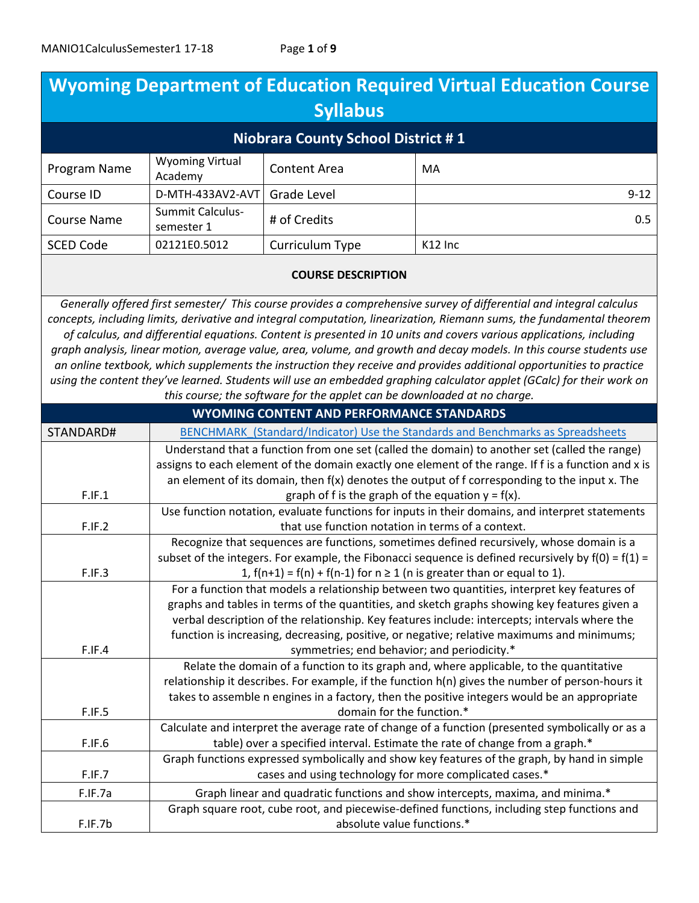| <b>Wyoming Department of Education Required Virtual Education Course</b> |                                                                                                                                                                                             |                                                                          |                                                                                                                                                                                                                                                                                                                                                                                                                                                                                                                                                                                                                                                                                                                                               |
|--------------------------------------------------------------------------|---------------------------------------------------------------------------------------------------------------------------------------------------------------------------------------------|--------------------------------------------------------------------------|-----------------------------------------------------------------------------------------------------------------------------------------------------------------------------------------------------------------------------------------------------------------------------------------------------------------------------------------------------------------------------------------------------------------------------------------------------------------------------------------------------------------------------------------------------------------------------------------------------------------------------------------------------------------------------------------------------------------------------------------------|
| <b>Syllabus</b><br><b>Niobrara County School District #1</b>             |                                                                                                                                                                                             |                                                                          |                                                                                                                                                                                                                                                                                                                                                                                                                                                                                                                                                                                                                                                                                                                                               |
|                                                                          |                                                                                                                                                                                             |                                                                          |                                                                                                                                                                                                                                                                                                                                                                                                                                                                                                                                                                                                                                                                                                                                               |
| Program Name                                                             | <b>Wyoming Virtual</b><br>Academy                                                                                                                                                           | <b>Content Area</b>                                                      | MA                                                                                                                                                                                                                                                                                                                                                                                                                                                                                                                                                                                                                                                                                                                                            |
| Course ID                                                                | D-MTH-433AV2-AVT                                                                                                                                                                            | <b>Grade Level</b>                                                       | $9 - 12$                                                                                                                                                                                                                                                                                                                                                                                                                                                                                                                                                                                                                                                                                                                                      |
| <b>Course Name</b>                                                       | <b>Summit Calculus-</b><br>semester 1                                                                                                                                                       | # of Credits                                                             | 0.5                                                                                                                                                                                                                                                                                                                                                                                                                                                                                                                                                                                                                                                                                                                                           |
| <b>SCED Code</b>                                                         | 02121E0.5012                                                                                                                                                                                | Curriculum Type                                                          | K12 Inc                                                                                                                                                                                                                                                                                                                                                                                                                                                                                                                                                                                                                                                                                                                                       |
| <b>COURSE DESCRIPTION</b>                                                |                                                                                                                                                                                             |                                                                          |                                                                                                                                                                                                                                                                                                                                                                                                                                                                                                                                                                                                                                                                                                                                               |
|                                                                          |                                                                                                                                                                                             | this course; the software for the applet can be downloaded at no charge. | Generally offered first semester/ This course provides a comprehensive survey of differential and integral calculus<br>concepts, including limits, derivative and integral computation, linearization, Riemann sums, the fundamental theorem<br>of calculus, and differential equations. Content is presented in 10 units and covers various applications, including<br>graph analysis, linear motion, average value, area, volume, and growth and decay models. In this course students use<br>an online textbook, which supplements the instruction they receive and provides additional opportunities to practice<br>using the content they've learned. Students will use an embedded graphing calculator applet (GCalc) for their work on |
|                                                                          |                                                                                                                                                                                             | WYOMING CONTENT AND PERFORMANCE STANDARDS                                |                                                                                                                                                                                                                                                                                                                                                                                                                                                                                                                                                                                                                                                                                                                                               |
| STANDARD#                                                                |                                                                                                                                                                                             |                                                                          | BENCHMARK (Standard/Indicator) Use the Standards and Benchmarks as Spreadsheets                                                                                                                                                                                                                                                                                                                                                                                                                                                                                                                                                                                                                                                               |
|                                                                          | Understand that a function from one set (called the domain) to another set (called the range)                                                                                               |                                                                          |                                                                                                                                                                                                                                                                                                                                                                                                                                                                                                                                                                                                                                                                                                                                               |
|                                                                          | assigns to each element of the domain exactly one element of the range. If f is a function and x is                                                                                         |                                                                          |                                                                                                                                                                                                                                                                                                                                                                                                                                                                                                                                                                                                                                                                                                                                               |
| F.IF.1                                                                   | an element of its domain, then f(x) denotes the output of f corresponding to the input x. The<br>graph of f is the graph of the equation $y = f(x)$ .                                       |                                                                          |                                                                                                                                                                                                                                                                                                                                                                                                                                                                                                                                                                                                                                                                                                                                               |
|                                                                          | Use function notation, evaluate functions for inputs in their domains, and interpret statements                                                                                             |                                                                          |                                                                                                                                                                                                                                                                                                                                                                                                                                                                                                                                                                                                                                                                                                                                               |
| F.IF.2                                                                   | that use function notation in terms of a context.                                                                                                                                           |                                                                          |                                                                                                                                                                                                                                                                                                                                                                                                                                                                                                                                                                                                                                                                                                                                               |
|                                                                          | Recognize that sequences are functions, sometimes defined recursively, whose domain is a                                                                                                    |                                                                          |                                                                                                                                                                                                                                                                                                                                                                                                                                                                                                                                                                                                                                                                                                                                               |
|                                                                          | subset of the integers. For example, the Fibonacci sequence is defined recursively by $f(0) = f(1) =$                                                                                       |                                                                          |                                                                                                                                                                                                                                                                                                                                                                                                                                                                                                                                                                                                                                                                                                                                               |
| F.IF.3                                                                   | 1, $f(n+1) = f(n) + f(n-1)$ for $n \ge 1$ (n is greater than or equal to 1).                                                                                                                |                                                                          |                                                                                                                                                                                                                                                                                                                                                                                                                                                                                                                                                                                                                                                                                                                                               |
|                                                                          | For a function that models a relationship between two quantities, interpret key features of                                                                                                 |                                                                          |                                                                                                                                                                                                                                                                                                                                                                                                                                                                                                                                                                                                                                                                                                                                               |
|                                                                          | graphs and tables in terms of the quantities, and sketch graphs showing key features given a                                                                                                |                                                                          |                                                                                                                                                                                                                                                                                                                                                                                                                                                                                                                                                                                                                                                                                                                                               |
|                                                                          | verbal description of the relationship. Key features include: intercepts; intervals where the                                                                                               |                                                                          |                                                                                                                                                                                                                                                                                                                                                                                                                                                                                                                                                                                                                                                                                                                                               |
| F.IF.4                                                                   | function is increasing, decreasing, positive, or negative; relative maximums and minimums;                                                                                                  |                                                                          |                                                                                                                                                                                                                                                                                                                                                                                                                                                                                                                                                                                                                                                                                                                                               |
|                                                                          | symmetries; end behavior; and periodicity.*                                                                                                                                                 |                                                                          |                                                                                                                                                                                                                                                                                                                                                                                                                                                                                                                                                                                                                                                                                                                                               |
|                                                                          | Relate the domain of a function to its graph and, where applicable, to the quantitative<br>relationship it describes. For example, if the function h(n) gives the number of person-hours it |                                                                          |                                                                                                                                                                                                                                                                                                                                                                                                                                                                                                                                                                                                                                                                                                                                               |
|                                                                          |                                                                                                                                                                                             |                                                                          | takes to assemble n engines in a factory, then the positive integers would be an appropriate                                                                                                                                                                                                                                                                                                                                                                                                                                                                                                                                                                                                                                                  |
| F.IF.5                                                                   |                                                                                                                                                                                             | domain for the function.*                                                |                                                                                                                                                                                                                                                                                                                                                                                                                                                                                                                                                                                                                                                                                                                                               |
|                                                                          |                                                                                                                                                                                             |                                                                          | Calculate and interpret the average rate of change of a function (presented symbolically or as a                                                                                                                                                                                                                                                                                                                                                                                                                                                                                                                                                                                                                                              |
| F.IF.6                                                                   |                                                                                                                                                                                             |                                                                          | table) over a specified interval. Estimate the rate of change from a graph.*                                                                                                                                                                                                                                                                                                                                                                                                                                                                                                                                                                                                                                                                  |
|                                                                          |                                                                                                                                                                                             |                                                                          | Graph functions expressed symbolically and show key features of the graph, by hand in simple                                                                                                                                                                                                                                                                                                                                                                                                                                                                                                                                                                                                                                                  |
| F.IF.7                                                                   |                                                                                                                                                                                             | cases and using technology for more complicated cases.*                  |                                                                                                                                                                                                                                                                                                                                                                                                                                                                                                                                                                                                                                                                                                                                               |
| F.IF.7a                                                                  |                                                                                                                                                                                             |                                                                          | Graph linear and quadratic functions and show intercepts, maxima, and minima.*                                                                                                                                                                                                                                                                                                                                                                                                                                                                                                                                                                                                                                                                |
|                                                                          |                                                                                                                                                                                             |                                                                          | Graph square root, cube root, and piecewise-defined functions, including step functions and                                                                                                                                                                                                                                                                                                                                                                                                                                                                                                                                                                                                                                                   |
| F.IF.7b                                                                  |                                                                                                                                                                                             | absolute value functions.*                                               |                                                                                                                                                                                                                                                                                                                                                                                                                                                                                                                                                                                                                                                                                                                                               |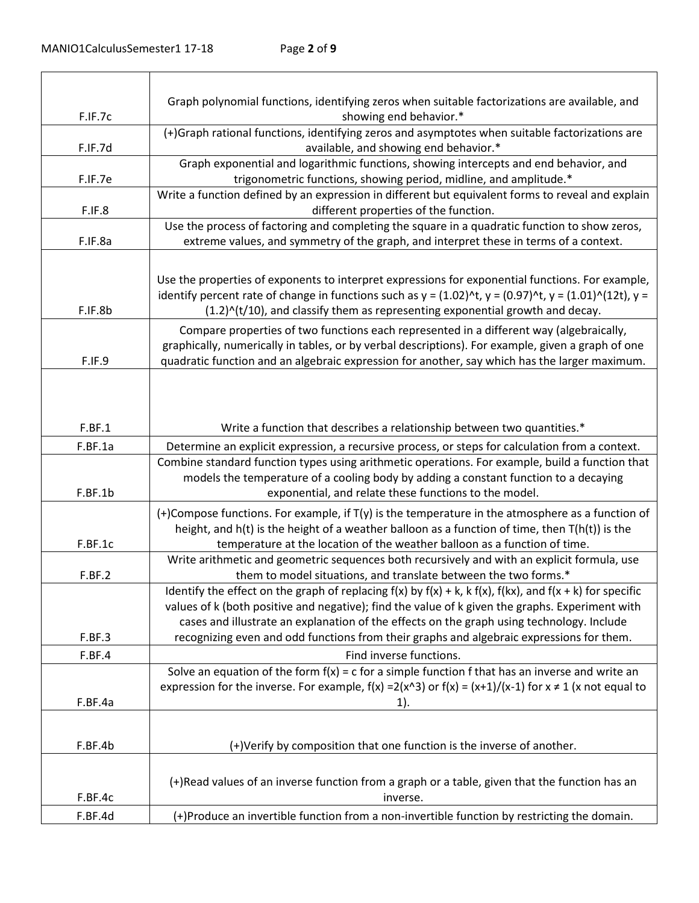|         | Graph polynomial functions, identifying zeros when suitable factorizations are available, and                                                                                                                                                                                                                         |
|---------|-----------------------------------------------------------------------------------------------------------------------------------------------------------------------------------------------------------------------------------------------------------------------------------------------------------------------|
| F.IF.7c | showing end behavior.*                                                                                                                                                                                                                                                                                                |
| F.IF.7d | (+)Graph rational functions, identifying zeros and asymptotes when suitable factorizations are<br>available, and showing end behavior.*                                                                                                                                                                               |
|         | Graph exponential and logarithmic functions, showing intercepts and end behavior, and                                                                                                                                                                                                                                 |
| F.IF.7e | trigonometric functions, showing period, midline, and amplitude.*                                                                                                                                                                                                                                                     |
| F.IF.8  | Write a function defined by an expression in different but equivalent forms to reveal and explain<br>different properties of the function.                                                                                                                                                                            |
|         | Use the process of factoring and completing the square in a quadratic function to show zeros,                                                                                                                                                                                                                         |
| F.IF.8a | extreme values, and symmetry of the graph, and interpret these in terms of a context.                                                                                                                                                                                                                                 |
|         | Use the properties of exponents to interpret expressions for exponential functions. For example,                                                                                                                                                                                                                      |
|         | identify percent rate of change in functions such as $y = (1.02)^{k}$ , $y = (0.97)^{k}$ , $y = (1.01)^{k}$ (12t), $y =$                                                                                                                                                                                              |
| F.IF.8b | $(1.2)^{n}(t/10)$ , and classify them as representing exponential growth and decay.                                                                                                                                                                                                                                   |
|         | Compare properties of two functions each represented in a different way (algebraically,<br>graphically, numerically in tables, or by verbal descriptions). For example, given a graph of one                                                                                                                          |
| F.IF.9  | quadratic function and an algebraic expression for another, say which has the larger maximum.                                                                                                                                                                                                                         |
| F.BF.1  | Write a function that describes a relationship between two quantities.*                                                                                                                                                                                                                                               |
|         |                                                                                                                                                                                                                                                                                                                       |
| F.BF.1a | Determine an explicit expression, a recursive process, or steps for calculation from a context.                                                                                                                                                                                                                       |
|         | Combine standard function types using arithmetic operations. For example, build a function that<br>models the temperature of a cooling body by adding a constant function to a decaying                                                                                                                               |
| F.BF.1b | exponential, and relate these functions to the model.                                                                                                                                                                                                                                                                 |
|         | (+)Compose functions. For example, if $T(y)$ is the temperature in the atmosphere as a function of<br>height, and $h(t)$ is the height of a weather balloon as a function of time, then $T(h(t))$ is the                                                                                                              |
| F.BF.1c | temperature at the location of the weather balloon as a function of time.                                                                                                                                                                                                                                             |
| F.BF.2  | Write arithmetic and geometric sequences both recursively and with an explicit formula, use<br>them to model situations, and translate between the two forms.*                                                                                                                                                        |
|         | Identify the effect on the graph of replacing $f(x)$ by $f(x) + k$ , $k f(x)$ , $f(kx)$ , and $f(x + k)$ for specific<br>values of k (both positive and negative); find the value of k given the graphs. Experiment with<br>cases and illustrate an explanation of the effects on the graph using technology. Include |
| F.BF.3  | recognizing even and odd functions from their graphs and algebraic expressions for them.                                                                                                                                                                                                                              |
| F.BF.4  | Find inverse functions.                                                                                                                                                                                                                                                                                               |
|         | Solve an equation of the form $f(x) = c$ for a simple function f that has an inverse and write an                                                                                                                                                                                                                     |
|         | expression for the inverse. For example, $f(x) = 2(x^2)$ or $f(x) = (x+1)/(x-1)$ for $x \ne 1$ (x not equal to                                                                                                                                                                                                        |
| F.BF.4a | $1$ ).                                                                                                                                                                                                                                                                                                                |
| F.BF.4b | (+)Verify by composition that one function is the inverse of another.                                                                                                                                                                                                                                                 |
|         |                                                                                                                                                                                                                                                                                                                       |
|         | (+)Read values of an inverse function from a graph or a table, given that the function has an                                                                                                                                                                                                                         |
| F.BF.4c | inverse.                                                                                                                                                                                                                                                                                                              |
| F.BF.4d | (+)Produce an invertible function from a non-invertible function by restricting the domain.                                                                                                                                                                                                                           |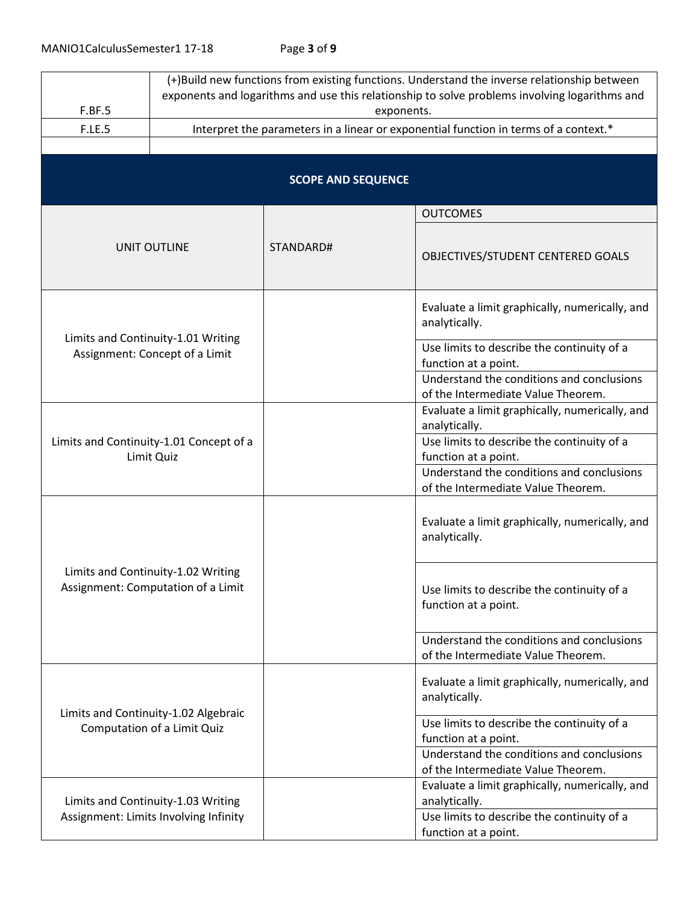|                                                                          | (+)Build new functions from existing functions. Understand the inverse relationship between<br>exponents and logarithms and use this relationship to solve problems involving logarithms and |                           |                                                                                                                                                                             |
|--------------------------------------------------------------------------|----------------------------------------------------------------------------------------------------------------------------------------------------------------------------------------------|---------------------------|-----------------------------------------------------------------------------------------------------------------------------------------------------------------------------|
| F.BF.5                                                                   | exponents.<br>Interpret the parameters in a linear or exponential function in terms of a context.*                                                                                           |                           |                                                                                                                                                                             |
| F.LE.5                                                                   |                                                                                                                                                                                              |                           |                                                                                                                                                                             |
|                                                                          |                                                                                                                                                                                              |                           |                                                                                                                                                                             |
|                                                                          |                                                                                                                                                                                              | <b>SCOPE AND SEQUENCE</b> |                                                                                                                                                                             |
|                                                                          |                                                                                                                                                                                              |                           | <b>OUTCOMES</b>                                                                                                                                                             |
| UNIT OUTLINE                                                             |                                                                                                                                                                                              | STANDARD#                 | OBJECTIVES/STUDENT CENTERED GOALS                                                                                                                                           |
|                                                                          |                                                                                                                                                                                              |                           | Evaluate a limit graphically, numerically, and<br>analytically.                                                                                                             |
|                                                                          | Limits and Continuity-1.01 Writing<br>Assignment: Concept of a Limit                                                                                                                         |                           | Use limits to describe the continuity of a<br>function at a point.                                                                                                          |
|                                                                          |                                                                                                                                                                                              |                           | Understand the conditions and conclusions<br>of the Intermediate Value Theorem.                                                                                             |
|                                                                          |                                                                                                                                                                                              |                           | Evaluate a limit graphically, numerically, and<br>analytically.                                                                                                             |
|                                                                          | Limits and Continuity-1.01 Concept of a<br>Limit Quiz                                                                                                                                        |                           | Use limits to describe the continuity of a<br>function at a point.                                                                                                          |
|                                                                          |                                                                                                                                                                                              |                           | Understand the conditions and conclusions<br>of the Intermediate Value Theorem.                                                                                             |
| Limits and Continuity-1.02 Writing<br>Assignment: Computation of a Limit |                                                                                                                                                                                              |                           | Evaluate a limit graphically, numerically, and<br>analytically.                                                                                                             |
|                                                                          |                                                                                                                                                                                              |                           | Use limits to describe the continuity of a<br>function at a point.                                                                                                          |
|                                                                          |                                                                                                                                                                                              |                           | Understand the conditions and conclusions<br>of the Intermediate Value Theorem.                                                                                             |
| Limits and Continuity-1.02 Algebraic                                     |                                                                                                                                                                                              |                           | Evaluate a limit graphically, numerically, and<br>analytically.                                                                                                             |
|                                                                          | Computation of a Limit Quiz                                                                                                                                                                  |                           | Use limits to describe the continuity of a<br>function at a point.<br>Understand the conditions and conclusions                                                             |
|                                                                          | Limits and Continuity-1.03 Writing<br>Assignment: Limits Involving Infinity                                                                                                                  |                           | of the Intermediate Value Theorem.<br>Evaluate a limit graphically, numerically, and<br>analytically.<br>Use limits to describe the continuity of a<br>function at a point. |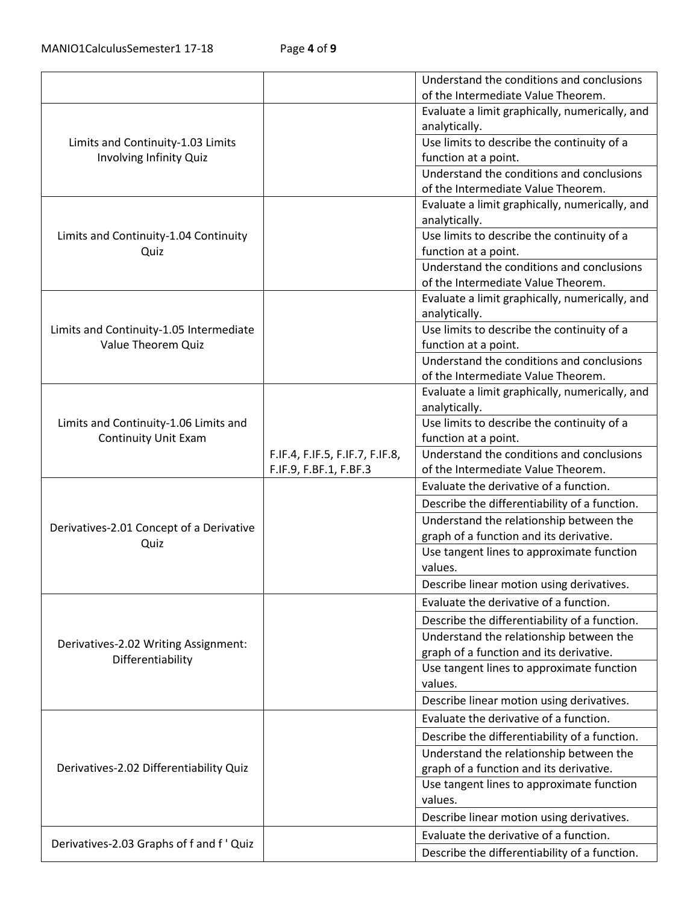| Understand the conditions and conclusions                                    |
|------------------------------------------------------------------------------|
| of the Intermediate Value Theorem.                                           |
| Evaluate a limit graphically, numerically, and                               |
| analytically.                                                                |
| Use limits to describe the continuity of a                                   |
| function at a point.                                                         |
| Understand the conditions and conclusions                                    |
| of the Intermediate Value Theorem.                                           |
| Evaluate a limit graphically, numerically, and                               |
| analytically.                                                                |
| Use limits to describe the continuity of a                                   |
| function at a point.                                                         |
| Understand the conditions and conclusions                                    |
| of the Intermediate Value Theorem.                                           |
| Evaluate a limit graphically, numerically, and                               |
| analytically.                                                                |
| Use limits to describe the continuity of a                                   |
| function at a point.                                                         |
| Understand the conditions and conclusions                                    |
| of the Intermediate Value Theorem.                                           |
| Evaluate a limit graphically, numerically, and                               |
| analytically.<br>Use limits to describe the continuity of a                  |
| function at a point.                                                         |
| Understand the conditions and conclusions<br>F.IF.4, F.IF.5, F.IF.7, F.IF.8, |
| of the Intermediate Value Theorem.<br>F.IF.9, F.BF.1, F.BF.3                 |
| Evaluate the derivative of a function.                                       |
| Describe the differentiability of a function.                                |
| Understand the relationship between the                                      |
| graph of a function and its derivative.                                      |
| Use tangent lines to approximate function                                    |
| values.                                                                      |
| Describe linear motion using derivatives.                                    |
| Evaluate the derivative of a function.                                       |
| Describe the differentiability of a function.                                |
| Understand the relationship between the                                      |
| graph of a function and its derivative.                                      |
| Use tangent lines to approximate function                                    |
| values.                                                                      |
| Describe linear motion using derivatives.                                    |
| Evaluate the derivative of a function.                                       |
| Describe the differentiability of a function.                                |
| Understand the relationship between the                                      |
| graph of a function and its derivative.                                      |
| Use tangent lines to approximate function                                    |
| values.                                                                      |
| Describe linear motion using derivatives.                                    |
|                                                                              |
| Evaluate the derivative of a function.                                       |
|                                                                              |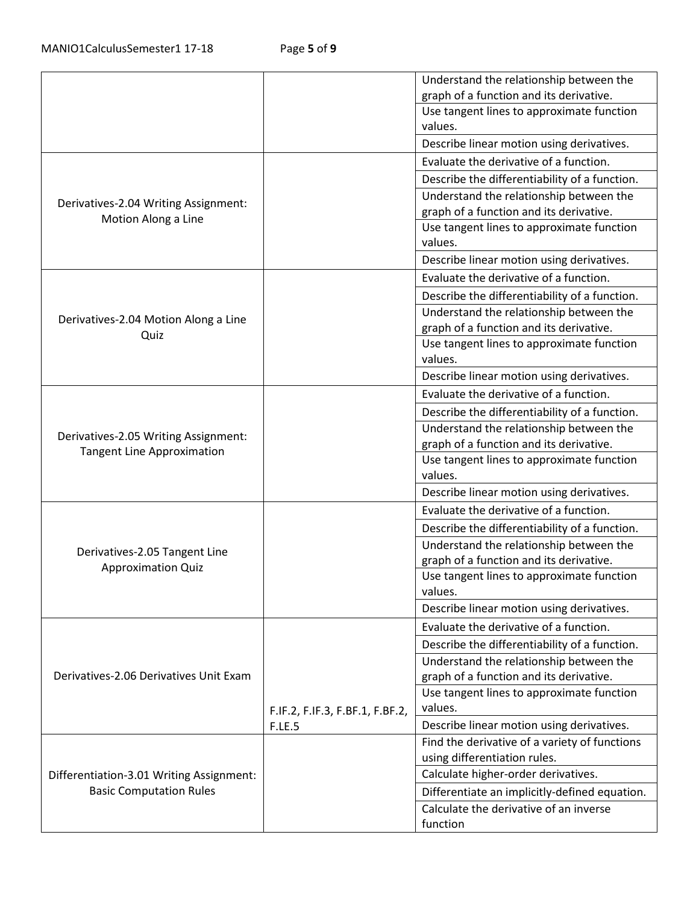|                                                             |                                 | Understand the relationship between the       |
|-------------------------------------------------------------|---------------------------------|-----------------------------------------------|
|                                                             |                                 | graph of a function and its derivative.       |
|                                                             |                                 | Use tangent lines to approximate function     |
|                                                             |                                 | values.                                       |
|                                                             |                                 | Describe linear motion using derivatives.     |
|                                                             |                                 | Evaluate the derivative of a function.        |
|                                                             |                                 | Describe the differentiability of a function. |
|                                                             |                                 | Understand the relationship between the       |
| Derivatives-2.04 Writing Assignment:<br>Motion Along a Line |                                 | graph of a function and its derivative.       |
|                                                             |                                 | Use tangent lines to approximate function     |
|                                                             |                                 | values.                                       |
|                                                             |                                 | Describe linear motion using derivatives.     |
|                                                             |                                 | Evaluate the derivative of a function.        |
|                                                             |                                 | Describe the differentiability of a function. |
| Derivatives-2.04 Motion Along a Line                        |                                 | Understand the relationship between the       |
| Quiz                                                        |                                 | graph of a function and its derivative.       |
|                                                             |                                 | Use tangent lines to approximate function     |
|                                                             |                                 | values.                                       |
|                                                             |                                 | Describe linear motion using derivatives.     |
|                                                             |                                 | Evaluate the derivative of a function.        |
|                                                             |                                 | Describe the differentiability of a function. |
| Derivatives-2.05 Writing Assignment:                        |                                 | Understand the relationship between the       |
| <b>Tangent Line Approximation</b>                           |                                 | graph of a function and its derivative.       |
|                                                             |                                 | Use tangent lines to approximate function     |
|                                                             |                                 | values.                                       |
|                                                             |                                 | Describe linear motion using derivatives.     |
|                                                             |                                 | Evaluate the derivative of a function.        |
| Derivatives-2.05 Tangent Line                               |                                 | Describe the differentiability of a function. |
|                                                             |                                 | Understand the relationship between the       |
| <b>Approximation Quiz</b>                                   |                                 | graph of a function and its derivative.       |
|                                                             |                                 | Use tangent lines to approximate function     |
|                                                             |                                 | values.                                       |
|                                                             |                                 | Describe linear motion using derivatives.     |
|                                                             |                                 | Evaluate the derivative of a function.        |
|                                                             |                                 | Describe the differentiability of a function. |
|                                                             |                                 | Understand the relationship between the       |
| Derivatives-2.06 Derivatives Unit Exam                      |                                 | graph of a function and its derivative.       |
|                                                             |                                 | Use tangent lines to approximate function     |
|                                                             | F.IF.2, F.IF.3, F.BF.1, F.BF.2, | values.                                       |
|                                                             | <b>F.LE.5</b>                   | Describe linear motion using derivatives.     |
|                                                             |                                 | Find the derivative of a variety of functions |
|                                                             |                                 | using differentiation rules.                  |
| Differentiation-3.01 Writing Assignment:                    |                                 | Calculate higher-order derivatives.           |
| <b>Basic Computation Rules</b>                              |                                 | Differentiate an implicitly-defined equation. |
|                                                             |                                 | Calculate the derivative of an inverse        |
|                                                             |                                 | function                                      |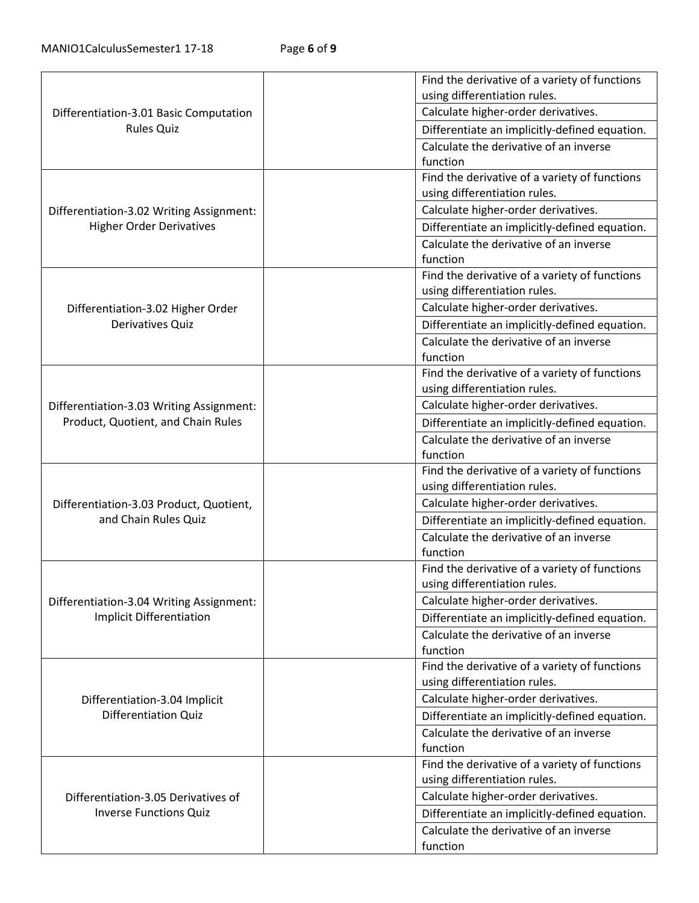|                                                             |  | Find the derivative of a variety of functions |
|-------------------------------------------------------------|--|-----------------------------------------------|
|                                                             |  | using differentiation rules.                  |
| Differentiation-3.01 Basic Computation<br><b>Rules Quiz</b> |  | Calculate higher-order derivatives.           |
|                                                             |  | Differentiate an implicitly-defined equation. |
|                                                             |  | Calculate the derivative of an inverse        |
|                                                             |  | function                                      |
|                                                             |  | Find the derivative of a variety of functions |
|                                                             |  | using differentiation rules.                  |
| Differentiation-3.02 Writing Assignment:                    |  | Calculate higher-order derivatives.           |
| <b>Higher Order Derivatives</b>                             |  | Differentiate an implicitly-defined equation. |
|                                                             |  | Calculate the derivative of an inverse        |
|                                                             |  | function                                      |
|                                                             |  | Find the derivative of a variety of functions |
|                                                             |  | using differentiation rules.                  |
| Differentiation-3.02 Higher Order                           |  | Calculate higher-order derivatives.           |
| Derivatives Quiz                                            |  | Differentiate an implicitly-defined equation. |
|                                                             |  | Calculate the derivative of an inverse        |
|                                                             |  | function                                      |
|                                                             |  | Find the derivative of a variety of functions |
|                                                             |  | using differentiation rules.                  |
| Differentiation-3.03 Writing Assignment:                    |  | Calculate higher-order derivatives.           |
| Product, Quotient, and Chain Rules                          |  | Differentiate an implicitly-defined equation. |
|                                                             |  | Calculate the derivative of an inverse        |
|                                                             |  | function                                      |
|                                                             |  | Find the derivative of a variety of functions |
|                                                             |  | using differentiation rules.                  |
| Differentiation-3.03 Product, Quotient,                     |  | Calculate higher-order derivatives.           |
| and Chain Rules Quiz                                        |  | Differentiate an implicitly-defined equation. |
|                                                             |  | Calculate the derivative of an inverse        |
|                                                             |  | function                                      |
|                                                             |  | Find the derivative of a variety of functions |
|                                                             |  | using differentiation rules.                  |
| Differentiation-3.04 Writing Assignment:                    |  | Calculate higher-order derivatives.           |
| <b>Implicit Differentiation</b>                             |  | Differentiate an implicitly-defined equation. |
|                                                             |  | Calculate the derivative of an inverse        |
|                                                             |  | function                                      |
|                                                             |  | Find the derivative of a variety of functions |
|                                                             |  | using differentiation rules.                  |
| Differentiation-3.04 Implicit                               |  | Calculate higher-order derivatives.           |
| <b>Differentiation Quiz</b>                                 |  | Differentiate an implicitly-defined equation. |
|                                                             |  | Calculate the derivative of an inverse        |
|                                                             |  | function                                      |
|                                                             |  | Find the derivative of a variety of functions |
|                                                             |  | using differentiation rules.                  |
| Differentiation-3.05 Derivatives of                         |  | Calculate higher-order derivatives.           |
| <b>Inverse Functions Quiz</b>                               |  | Differentiate an implicitly-defined equation. |
|                                                             |  | Calculate the derivative of an inverse        |
|                                                             |  | function                                      |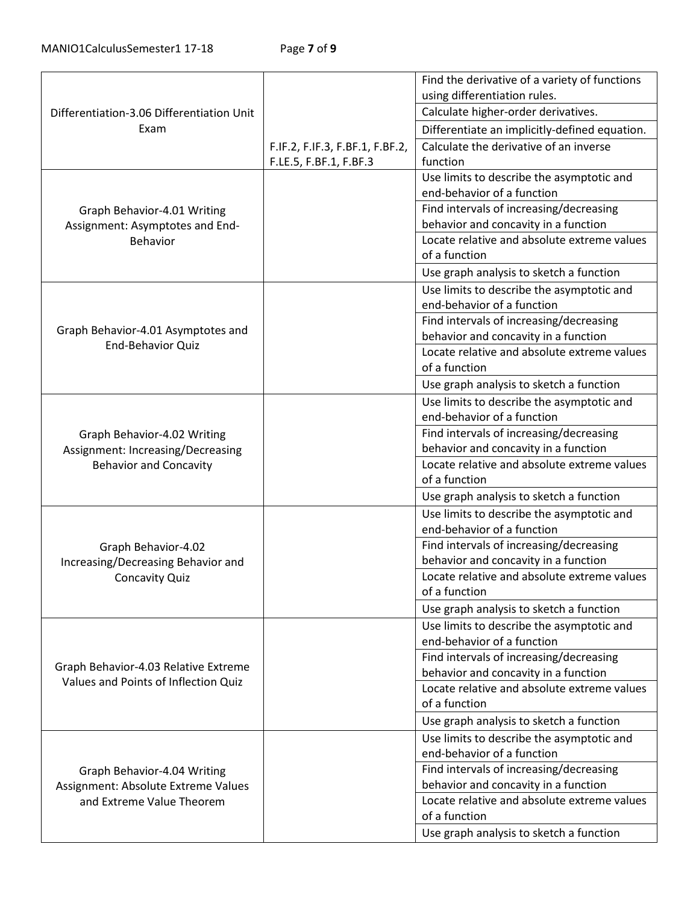|                                           |                                 | Find the derivative of a variety of functions |
|-------------------------------------------|---------------------------------|-----------------------------------------------|
| Differentiation-3.06 Differentiation Unit |                                 | using differentiation rules.                  |
|                                           |                                 | Calculate higher-order derivatives.           |
| Exam                                      |                                 | Differentiate an implicitly-defined equation. |
|                                           | F.IF.2, F.IF.3, F.BF.1, F.BF.2, | Calculate the derivative of an inverse        |
|                                           | F.LE.5, F.BF.1, F.BF.3          | function                                      |
|                                           |                                 | Use limits to describe the asymptotic and     |
|                                           |                                 | end-behavior of a function                    |
| Graph Behavior-4.01 Writing               |                                 | Find intervals of increasing/decreasing       |
| Assignment: Asymptotes and End-           |                                 | behavior and concavity in a function          |
| <b>Behavior</b>                           |                                 | Locate relative and absolute extreme values   |
|                                           |                                 | of a function                                 |
|                                           |                                 | Use graph analysis to sketch a function       |
|                                           |                                 | Use limits to describe the asymptotic and     |
|                                           |                                 | end-behavior of a function                    |
| Graph Behavior-4.01 Asymptotes and        |                                 | Find intervals of increasing/decreasing       |
| <b>End-Behavior Quiz</b>                  |                                 | behavior and concavity in a function          |
|                                           |                                 | Locate relative and absolute extreme values   |
|                                           |                                 | of a function                                 |
|                                           |                                 | Use graph analysis to sketch a function       |
|                                           |                                 | Use limits to describe the asymptotic and     |
|                                           |                                 | end-behavior of a function                    |
| Graph Behavior-4.02 Writing               |                                 | Find intervals of increasing/decreasing       |
| Assignment: Increasing/Decreasing         |                                 | behavior and concavity in a function          |
| <b>Behavior and Concavity</b>             |                                 | Locate relative and absolute extreme values   |
|                                           |                                 | of a function                                 |
|                                           |                                 | Use graph analysis to sketch a function       |
|                                           |                                 | Use limits to describe the asymptotic and     |
|                                           |                                 | end-behavior of a function                    |
| Graph Behavior-4.02                       |                                 | Find intervals of increasing/decreasing       |
| Increasing/Decreasing Behavior and        |                                 | behavior and concavity in a function          |
| <b>Concavity Quiz</b>                     |                                 | Locate relative and absolute extreme values   |
|                                           |                                 | of a function                                 |
|                                           |                                 | Use graph analysis to sketch a function       |
|                                           |                                 | Use limits to describe the asymptotic and     |
|                                           |                                 | end-behavior of a function                    |
| Graph Behavior-4.03 Relative Extreme      |                                 | Find intervals of increasing/decreasing       |
| Values and Points of Inflection Quiz      |                                 | behavior and concavity in a function          |
|                                           |                                 | Locate relative and absolute extreme values   |
|                                           |                                 | of a function                                 |
|                                           |                                 | Use graph analysis to sketch a function       |
|                                           |                                 | Use limits to describe the asymptotic and     |
|                                           |                                 | end-behavior of a function                    |
| Graph Behavior-4.04 Writing               |                                 | Find intervals of increasing/decreasing       |
| Assignment: Absolute Extreme Values       |                                 | behavior and concavity in a function          |
| and Extreme Value Theorem                 |                                 | Locate relative and absolute extreme values   |
|                                           |                                 | of a function                                 |
|                                           |                                 | Use graph analysis to sketch a function       |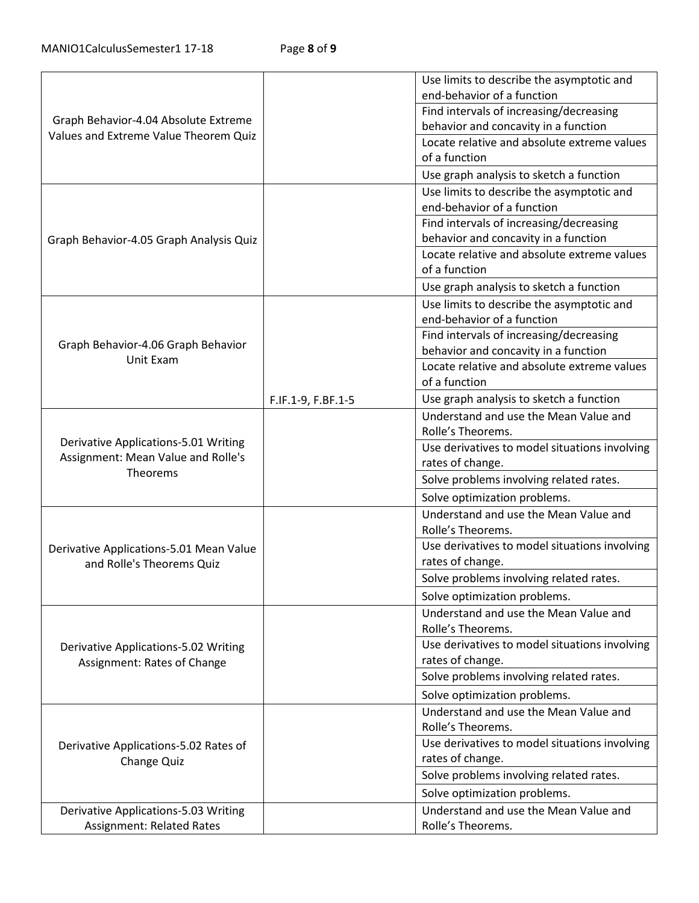|                                         |                    | Use limits to describe the asymptotic and     |
|-----------------------------------------|--------------------|-----------------------------------------------|
|                                         |                    | end-behavior of a function                    |
|                                         |                    | Find intervals of increasing/decreasing       |
| Graph Behavior-4.04 Absolute Extreme    |                    | behavior and concavity in a function          |
| Values and Extreme Value Theorem Quiz   |                    | Locate relative and absolute extreme values   |
|                                         |                    | of a function                                 |
|                                         |                    | Use graph analysis to sketch a function       |
|                                         |                    | Use limits to describe the asymptotic and     |
|                                         |                    | end-behavior of a function                    |
|                                         |                    | Find intervals of increasing/decreasing       |
| Graph Behavior-4.05 Graph Analysis Quiz |                    | behavior and concavity in a function          |
|                                         |                    | Locate relative and absolute extreme values   |
|                                         |                    | of a function                                 |
|                                         |                    | Use graph analysis to sketch a function       |
|                                         |                    | Use limits to describe the asymptotic and     |
|                                         |                    | end-behavior of a function                    |
| Graph Behavior-4.06 Graph Behavior      |                    | Find intervals of increasing/decreasing       |
| Unit Exam                               |                    | behavior and concavity in a function          |
|                                         |                    | Locate relative and absolute extreme values   |
|                                         |                    | of a function                                 |
|                                         | F.IF.1-9, F.BF.1-5 | Use graph analysis to sketch a function       |
|                                         |                    | Understand and use the Mean Value and         |
| Derivative Applications-5.01 Writing    |                    | Rolle's Theorems.                             |
| Assignment: Mean Value and Rolle's      |                    | Use derivatives to model situations involving |
| Theorems                                |                    | rates of change.                              |
|                                         |                    | Solve problems involving related rates.       |
|                                         |                    | Solve optimization problems.                  |
|                                         |                    | Understand and use the Mean Value and         |
|                                         |                    | Rolle's Theorems.                             |
| Derivative Applications-5.01 Mean Value |                    | Use derivatives to model situations involving |
| and Rolle's Theorems Quiz               |                    | rates of change.                              |
|                                         |                    | Solve problems involving related rates.       |
|                                         |                    | Solve optimization problems.                  |
|                                         |                    | Understand and use the Mean Value and         |
|                                         |                    | Rolle's Theorems.                             |
| Derivative Applications-5.02 Writing    |                    | Use derivatives to model situations involving |
| Assignment: Rates of Change             |                    | rates of change.                              |
|                                         |                    | Solve problems involving related rates.       |
|                                         |                    | Solve optimization problems.                  |
|                                         |                    | Understand and use the Mean Value and         |
|                                         |                    | Rolle's Theorems.                             |
| Derivative Applications-5.02 Rates of   |                    | Use derivatives to model situations involving |
| Change Quiz                             |                    | rates of change.                              |
|                                         |                    | Solve problems involving related rates.       |
|                                         |                    | Solve optimization problems.                  |
| Derivative Applications-5.03 Writing    |                    | Understand and use the Mean Value and         |
| <b>Assignment: Related Rates</b>        |                    | Rolle's Theorems.                             |